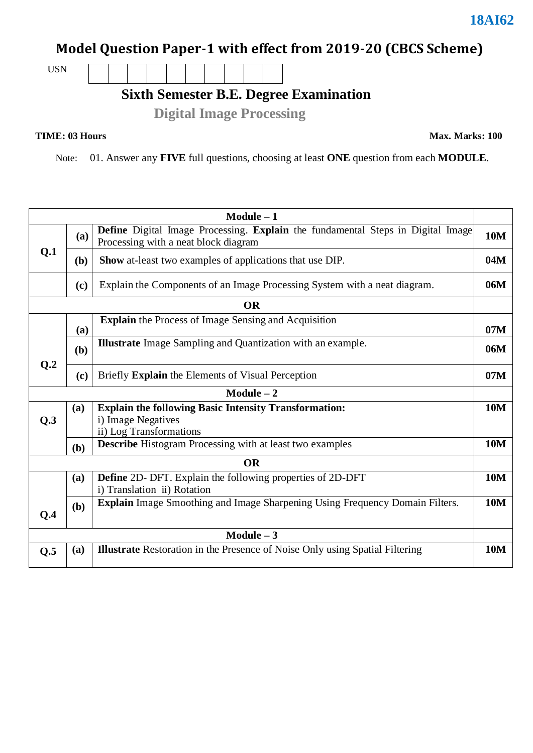## **Model Question Paper-1 with effect from 2019-20 (CBCS Scheme)**

USN

## **Sixth Semester B.E. Degree Examination**

 **Digital Image Processing**

**TIME: 03 Hours Max. Marks: 100**

Note: 01. Answer any **FIVE** full questions, choosing at least **ONE** question from each **MODULE**.

| $Module - 1$    |                                                                                  |                                                                                                                         |            |  |  |  |
|-----------------|----------------------------------------------------------------------------------|-------------------------------------------------------------------------------------------------------------------------|------------|--|--|--|
|                 | (a)                                                                              | Define Digital Image Processing. Explain the fundamental Steps in Digital Image<br>Processing with a neat block diagram | <b>10M</b> |  |  |  |
| Q.1             | ( <b>b</b> )                                                                     | <b>Show</b> at-least two examples of applications that use DIP.                                                         | 04M        |  |  |  |
|                 | Explain the Components of an Image Processing System with a neat diagram.<br>(c) |                                                                                                                         |            |  |  |  |
|                 |                                                                                  | <b>OR</b>                                                                                                               |            |  |  |  |
|                 | (a)                                                                              | <b>Explain</b> the Process of Image Sensing and Acquisition                                                             | 07M        |  |  |  |
| Q <sub>.2</sub> | (b)                                                                              | <b>Illustrate</b> Image Sampling and Quantization with an example.                                                      | 06M        |  |  |  |
|                 | (c)                                                                              | Briefly Explain the Elements of Visual Perception                                                                       | 07M        |  |  |  |
|                 |                                                                                  | $Module - 2$                                                                                                            |            |  |  |  |
|                 | (a)                                                                              | <b>Explain the following Basic Intensity Transformation:</b>                                                            | <b>10M</b> |  |  |  |
| Q.3             |                                                                                  | i) Image Negatives<br>ii) Log Transformations                                                                           |            |  |  |  |
|                 | (b)                                                                              | <b>Describe</b> Histogram Processing with at least two examples                                                         | <b>10M</b> |  |  |  |
|                 |                                                                                  | <b>OR</b>                                                                                                               |            |  |  |  |
|                 | (a)                                                                              | <b>Define</b> 2D- DFT. Explain the following properties of 2D-DFT<br>i) Translation ii) Rotation                        | <b>10M</b> |  |  |  |
| Q.4             | (b)                                                                              | <b>Explain</b> Image Smoothing and Image Sharpening Using Frequency Domain Filters.                                     | <b>10M</b> |  |  |  |
| $Module - 3$    |                                                                                  |                                                                                                                         |            |  |  |  |
| Q.5             | (a)                                                                              | <b>Illustrate</b> Restoration in the Presence of Noise Only using Spatial Filtering                                     | <b>10M</b> |  |  |  |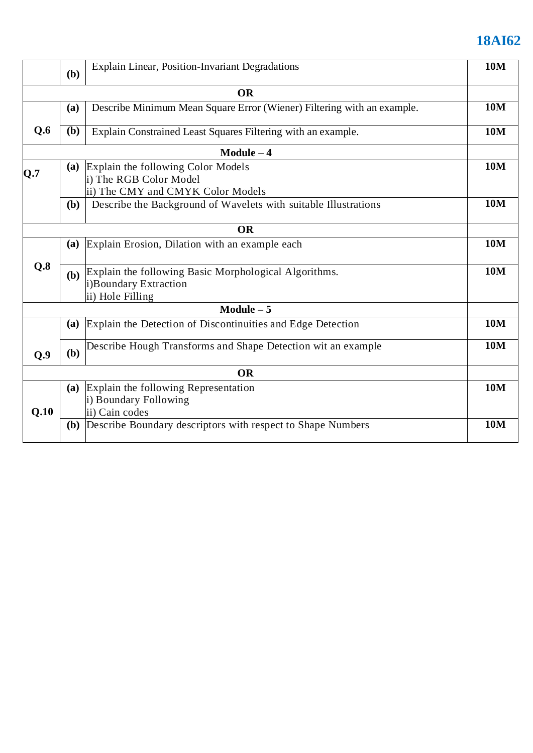## **18AI62**

|      | Explain Linear, Position-Invariant Degradations<br>(b) |                                                                                                    |            |  |  |
|------|--------------------------------------------------------|----------------------------------------------------------------------------------------------------|------------|--|--|
|      |                                                        | <b>OR</b>                                                                                          |            |  |  |
|      | (a)                                                    | Describe Minimum Mean Square Error (Wiener) Filtering with an example.                             | <b>10M</b> |  |  |
| Q.6  | ( <b>b</b> )                                           | Explain Constrained Least Squares Filtering with an example.                                       | <b>10M</b> |  |  |
|      |                                                        | $Module - 4$                                                                                       |            |  |  |
| Q.7  | (a)                                                    | Explain the following Color Models<br>i) The RGB Color Model<br>ii) The CMY and CMYK Color Models  | <b>10M</b> |  |  |
|      | <b>(b)</b>                                             | Describe the Background of Wavelets with suitable Illustrations                                    | <b>10M</b> |  |  |
|      |                                                        | <b>OR</b>                                                                                          |            |  |  |
|      | (a)                                                    | Explain Erosion, Dilation with an example each                                                     | <b>10M</b> |  |  |
| Q.8  | <b>(b)</b>                                             | Explain the following Basic Morphological Algorithms.<br>i)Boundary Extraction<br>ii) Hole Filling | <b>10M</b> |  |  |
|      |                                                        | Module $-5$                                                                                        |            |  |  |
|      | (a)                                                    | Explain the Detection of Discontinuities and Edge Detection                                        | <b>10M</b> |  |  |
| Q.9  | (b)                                                    | Describe Hough Transforms and Shape Detection wit an example                                       | <b>10M</b> |  |  |
|      |                                                        | <b>OR</b>                                                                                          |            |  |  |
| Q.10 | (a)                                                    | Explain the following Representation<br>i) Boundary Following<br>ii) Cain codes                    | <b>10M</b> |  |  |
|      | (b)                                                    | Describe Boundary descriptors with respect to Shape Numbers                                        | <b>10M</b> |  |  |